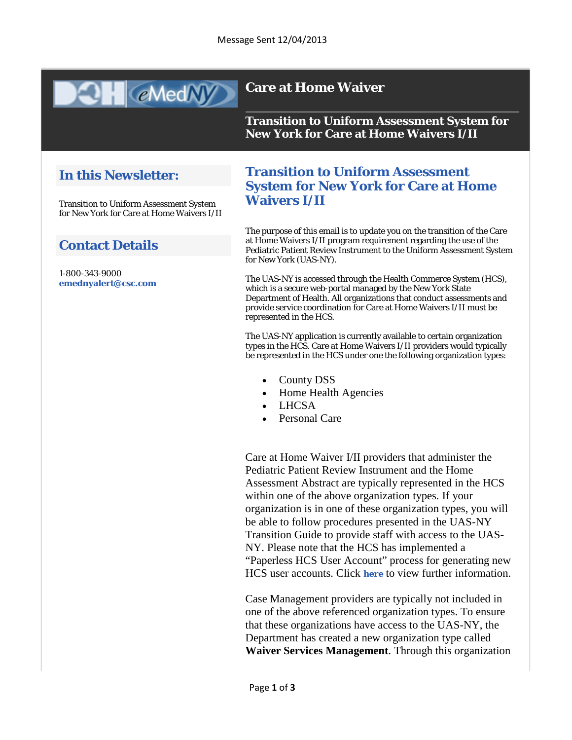# **QH** @MedM

# **Care at Home Waiver**

**Transition to Uniform Assessment System for New York for Care at Home Waivers I/II** 

# **In this Newsletter:**

Transition to Uniform Assessment System for New York for Care at Home Waivers I/II

### **Contact Details**

1-800-343-9000 **[emednyalert@csc.com](mailto:emednyalert@csc.com)**

### **Transition to Uniform Assessment System for New York for Care at Home Waivers I/II**

The purpose of this email is to update you on the transition of the Care at Home Waivers I/II program requirement regarding the use of the Pediatric Patient Review Instrument to the Uniform Assessment System for New York (UAS-NY).

The UAS-NY is accessed through the Health Commerce System (HCS), which is a secure web-portal managed by the New York State Department of Health. All organizations that conduct assessments and provide service coordination for Care at Home Waivers I/II must be represented in the HCS.

The UAS-NY application is currently available to certain organization types in the HCS. Care at Home Waivers I/II providers would typically be represented in the HCS under one the following organization types:

- County DSS
- Home Health Agencies
- **LHCSA**
- Personal Care

Care at Home Waiver I/II providers that administer the Pediatric Patient Review Instrument and the Home Assessment Abstract are typically represented in the HCS within one of the above organization types. If your organization is in one of these organization types, you will be able to follow procedures presented in the UAS-NY Transition Guide to provide staff with access to the UAS-NY. Please note that the HCS has implemented a "Paperless HCS User Account" process for generating new HCS user accounts. Click **[here](https://www.emedny.org/Listserv/HCSPaperlessProcess.pdf)** to view further information.

Case Management providers are typically not included in one of the above referenced organization types. To ensure that these organizations have access to the UAS-NY, the Department has created a new organization type called **Waiver Services Management**. Through this organization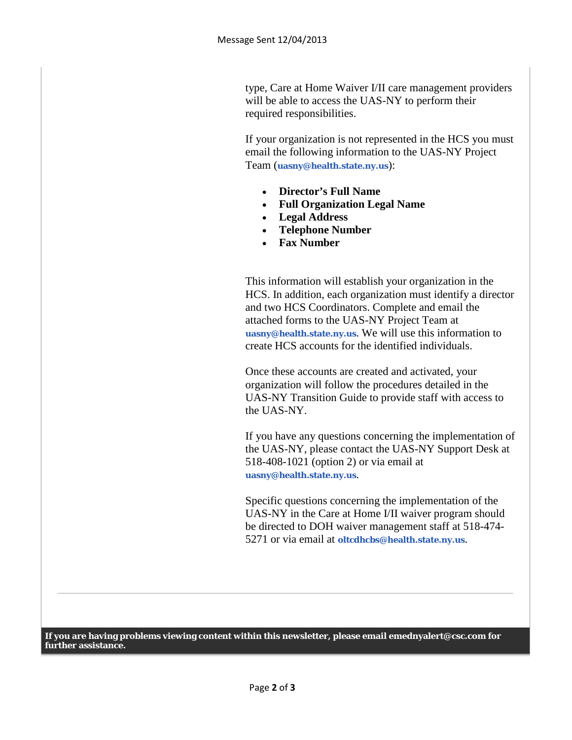type, Care at Home Waiver I/II care management providers will be able to access the UAS-NY to perform their required responsibilities.

If your organization is not represented in the HCS you must email the following information to the UAS-NY Project Team (**[uasny@health.state.ny.us](mailto:uasny@health.state.ny.us)**):

- **Director's Full Name**
- **Full Organization Legal Name**
- **Legal Address**
- **Telephone Number**
- **Fax Number**

This information will establish your organization in the HCS. In addition, each organization must identify a director and two HCS Coordinators. Complete and email the attached forms to the UAS-NY Project Team at **[uasny@health.state.ny.us](mailto:uasny@health.state.ny.us)**. We will use this information to create HCS accounts for the identified individuals.

Once these accounts are created and activated, your organization will follow the procedures detailed in the UAS-NY Transition Guide to provide staff with access to the UAS-NY.

If you have any questions concerning the implementation of the UAS-NY, please contact the UAS-NY Support Desk at 518-408-1021 (option 2) or via email at **[uasny@health.state.ny.us](mailto:uasny@health.state.ny.us)**.

Specific questions concerning the implementation of the UAS-NY in the Care at Home I/II waiver program should be directed to DOH waiver management staff at 518-474- 5271 or via email at **[oltcdhcbs@health.state.ny.us](mailto:oltcdhcbs@health.state.ny.us)**.

**If you are having problems viewing content within this newsletter, please email emednyalert@csc.com for further assistance.**